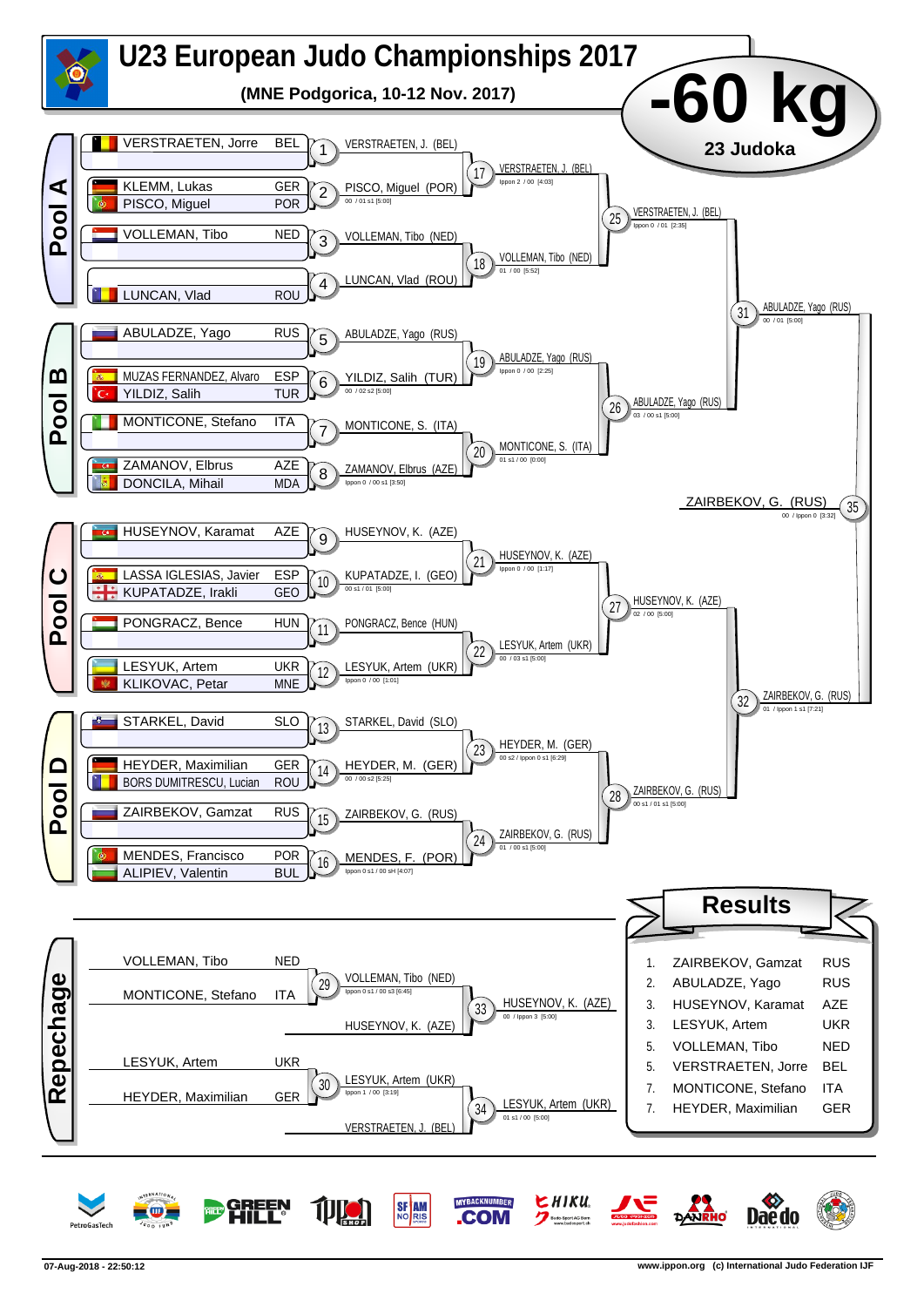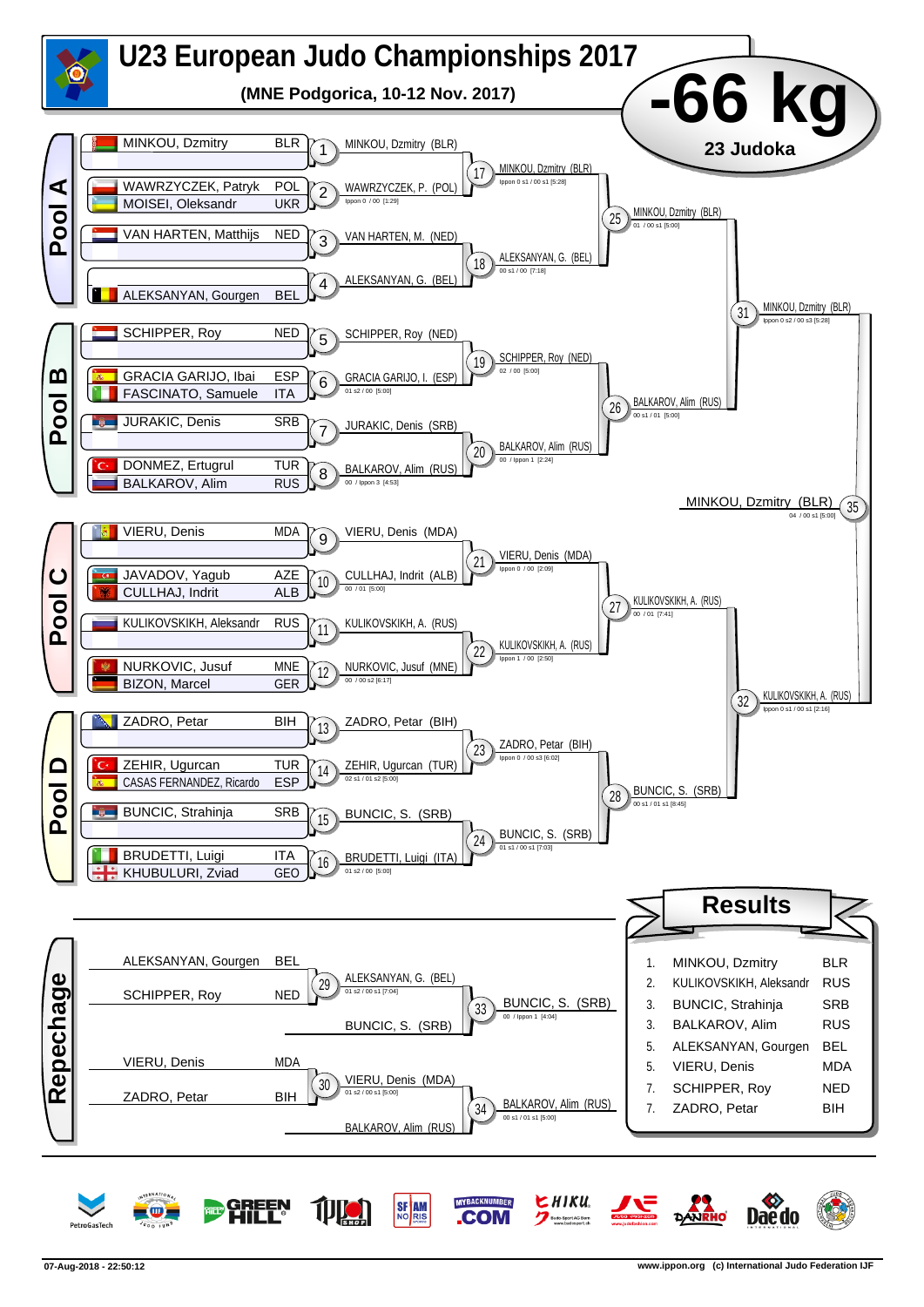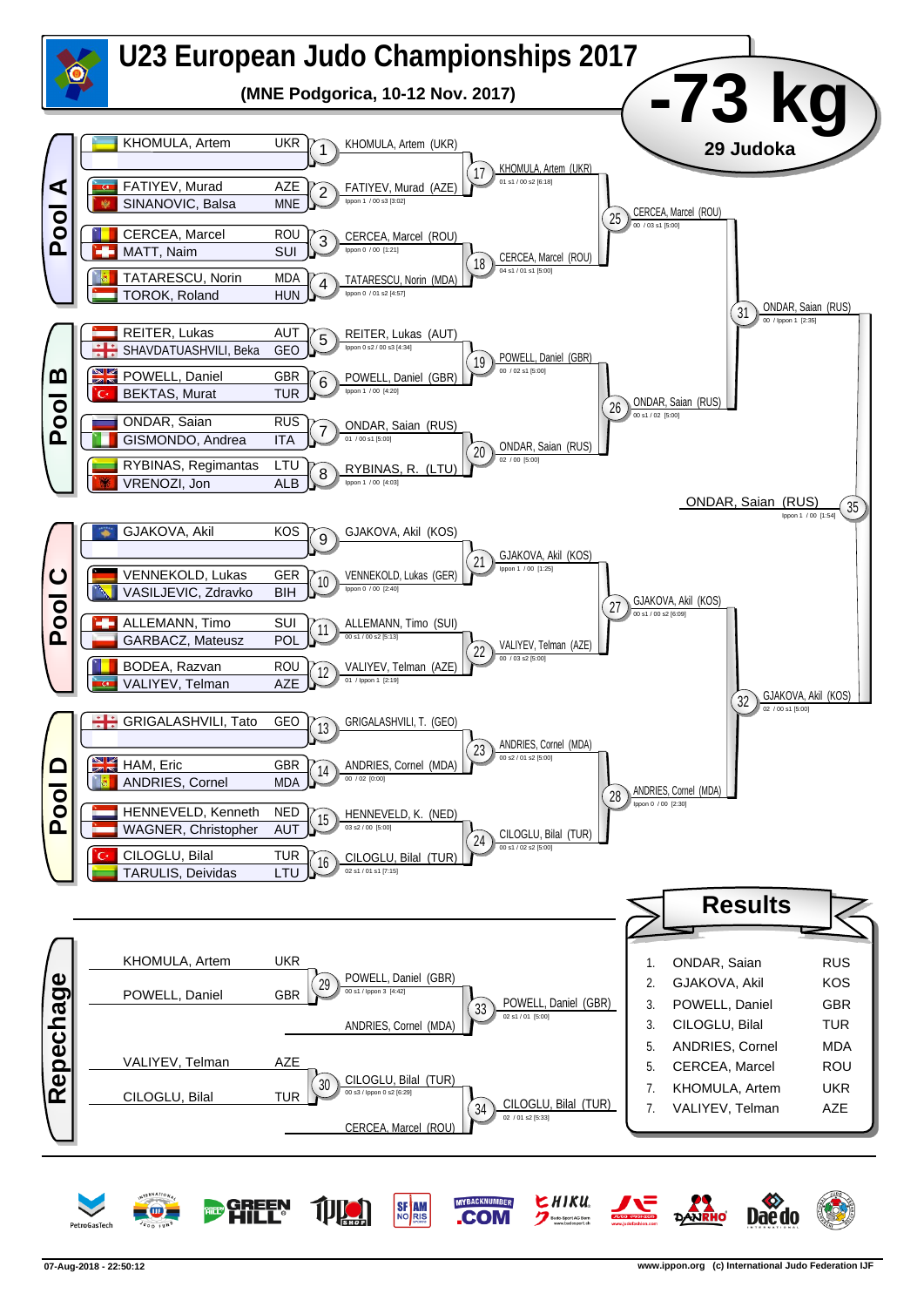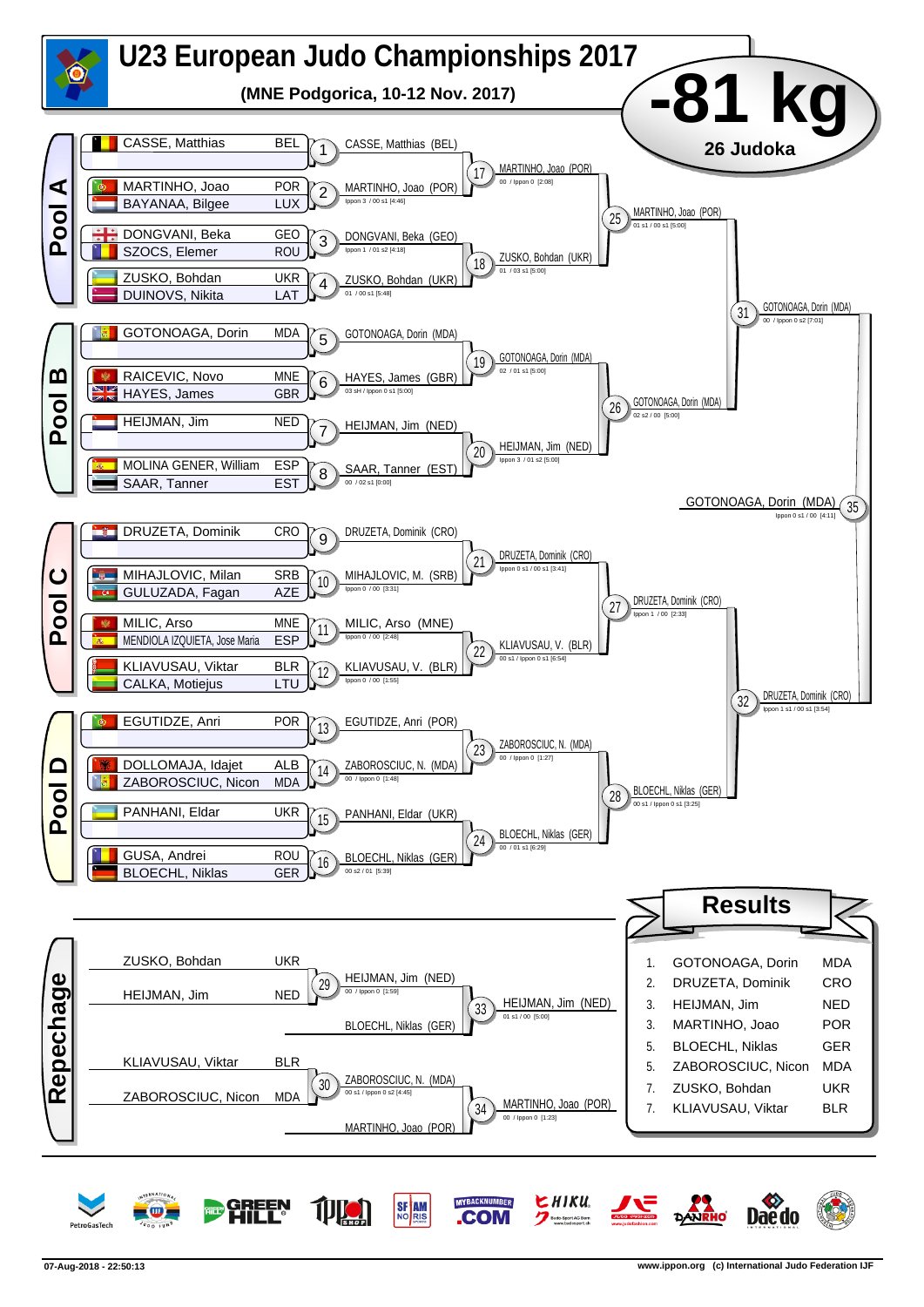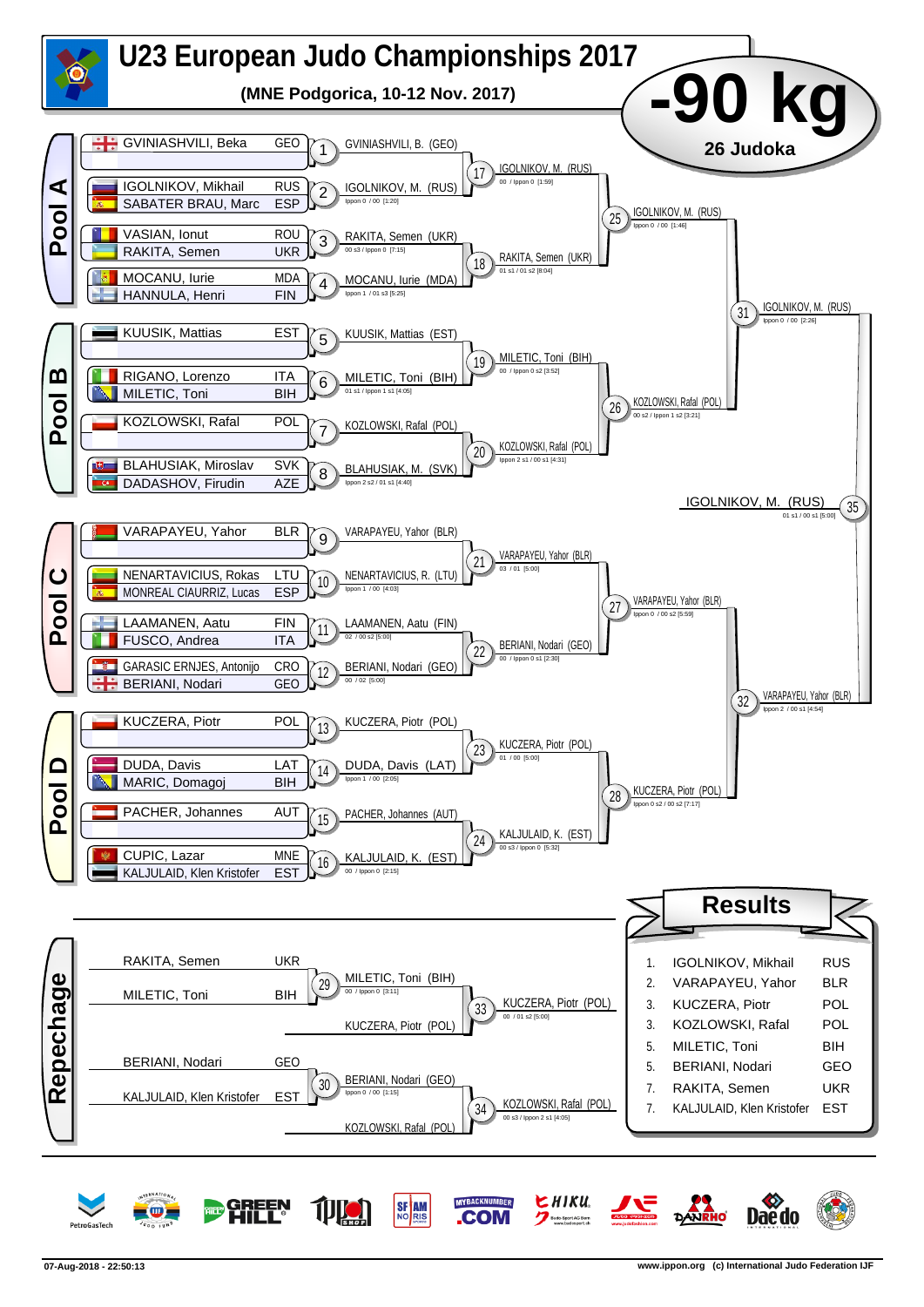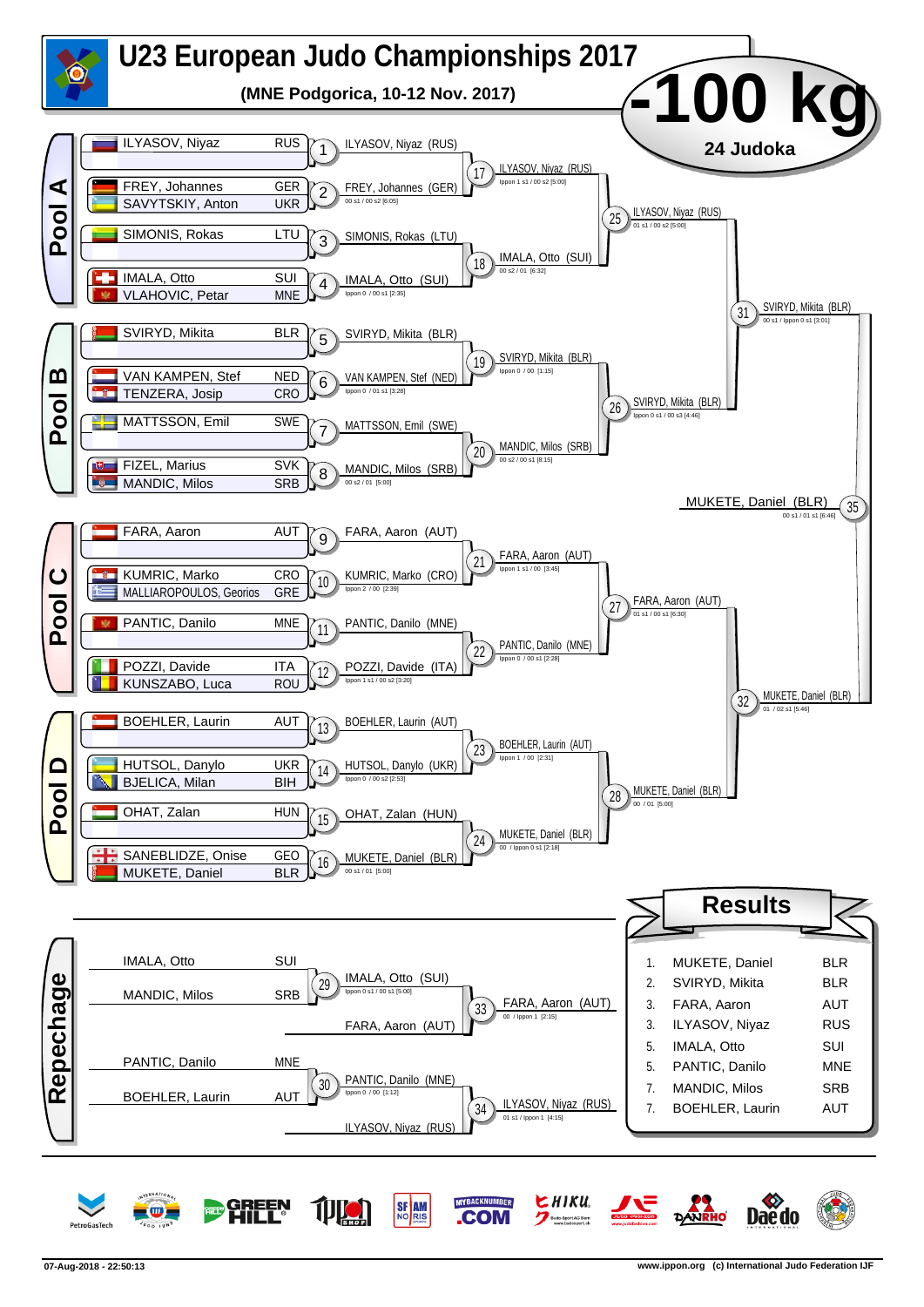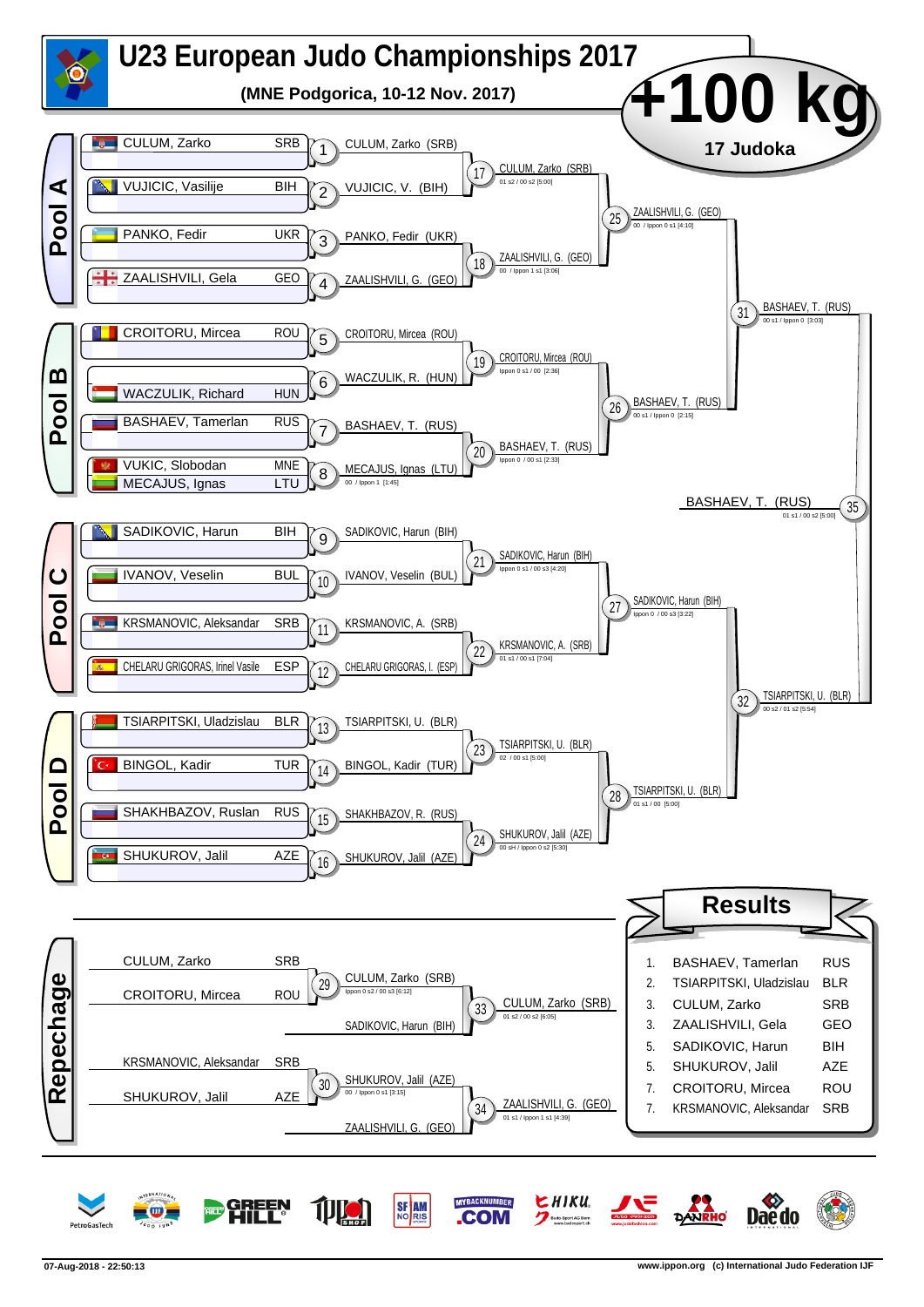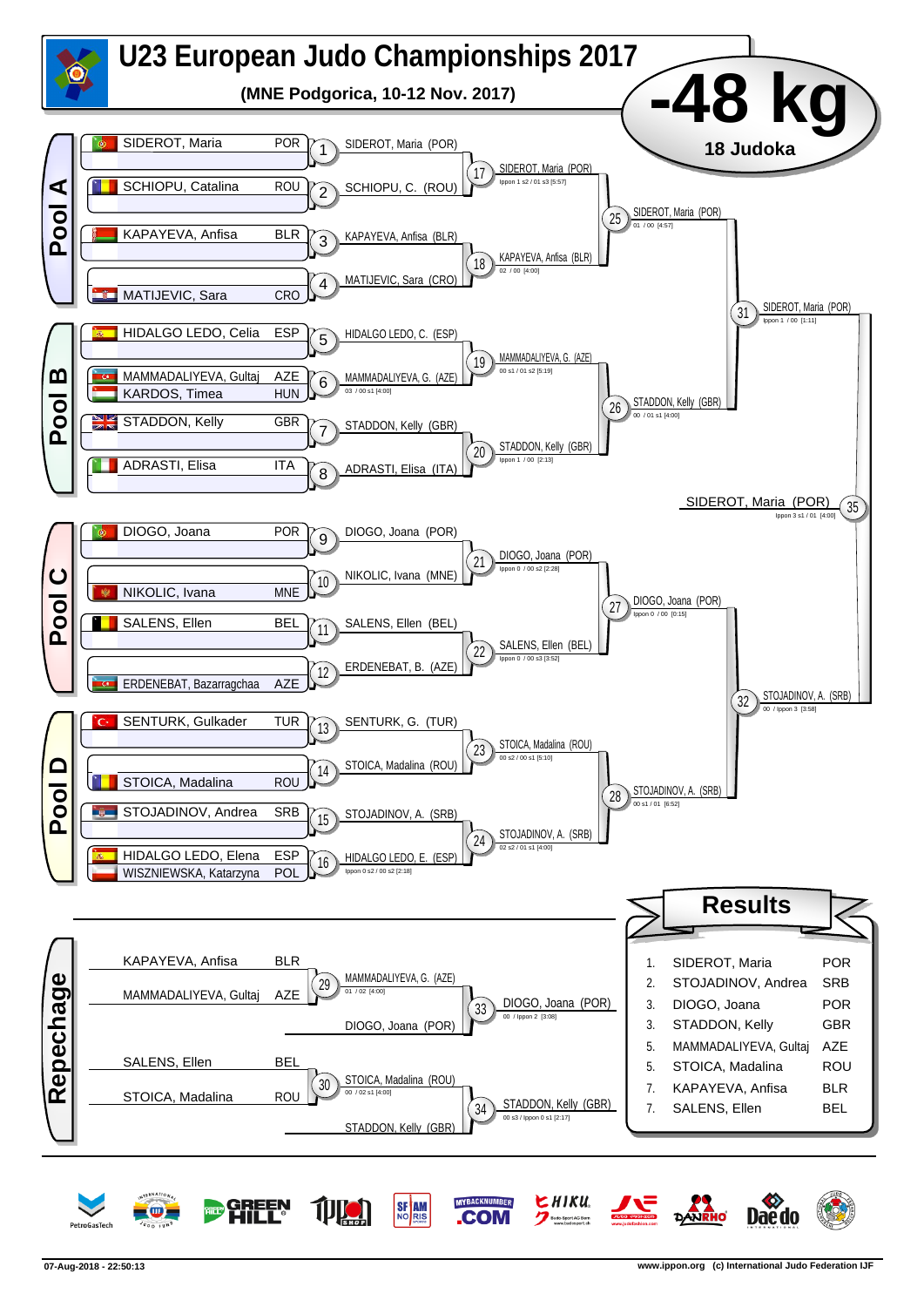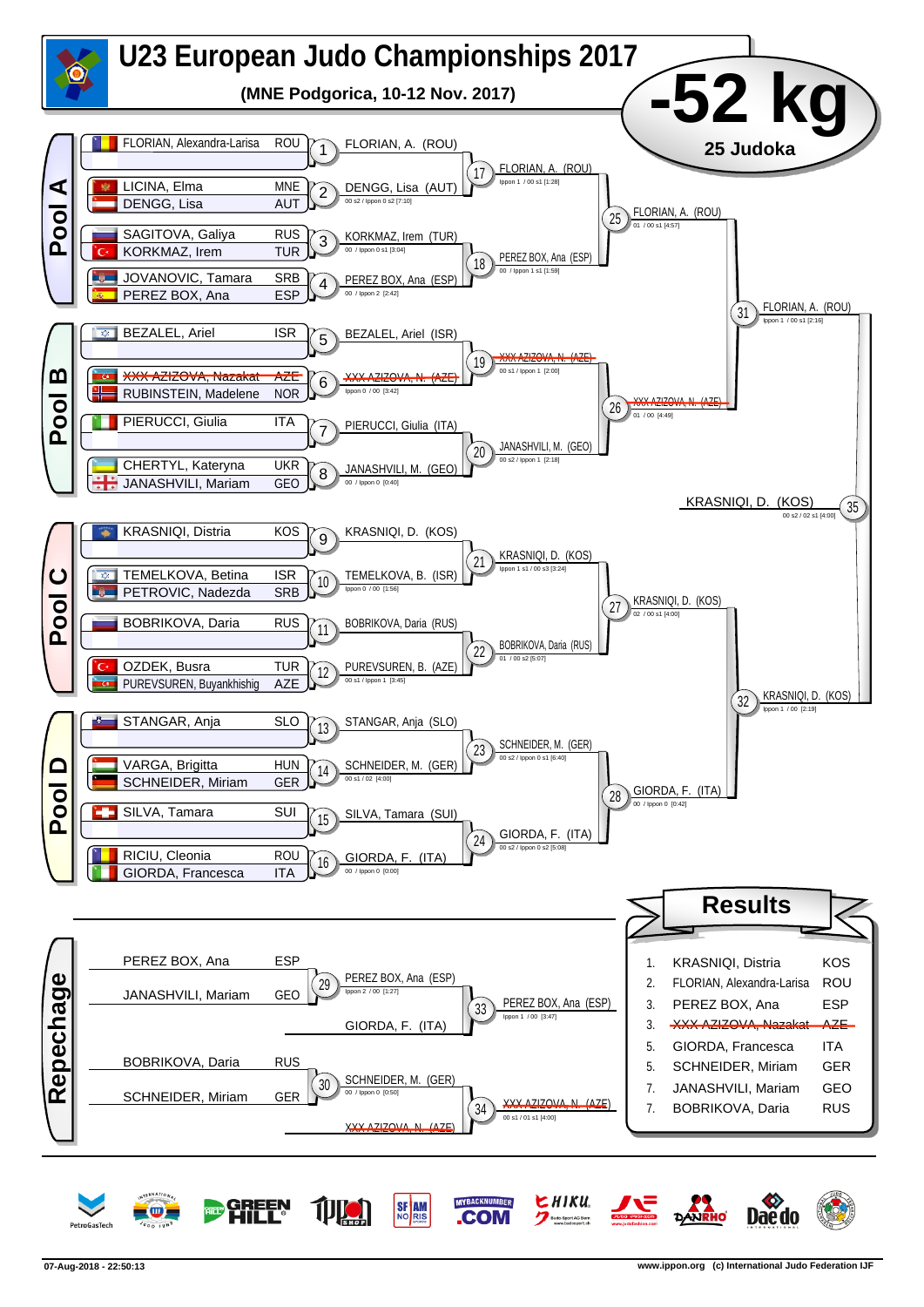

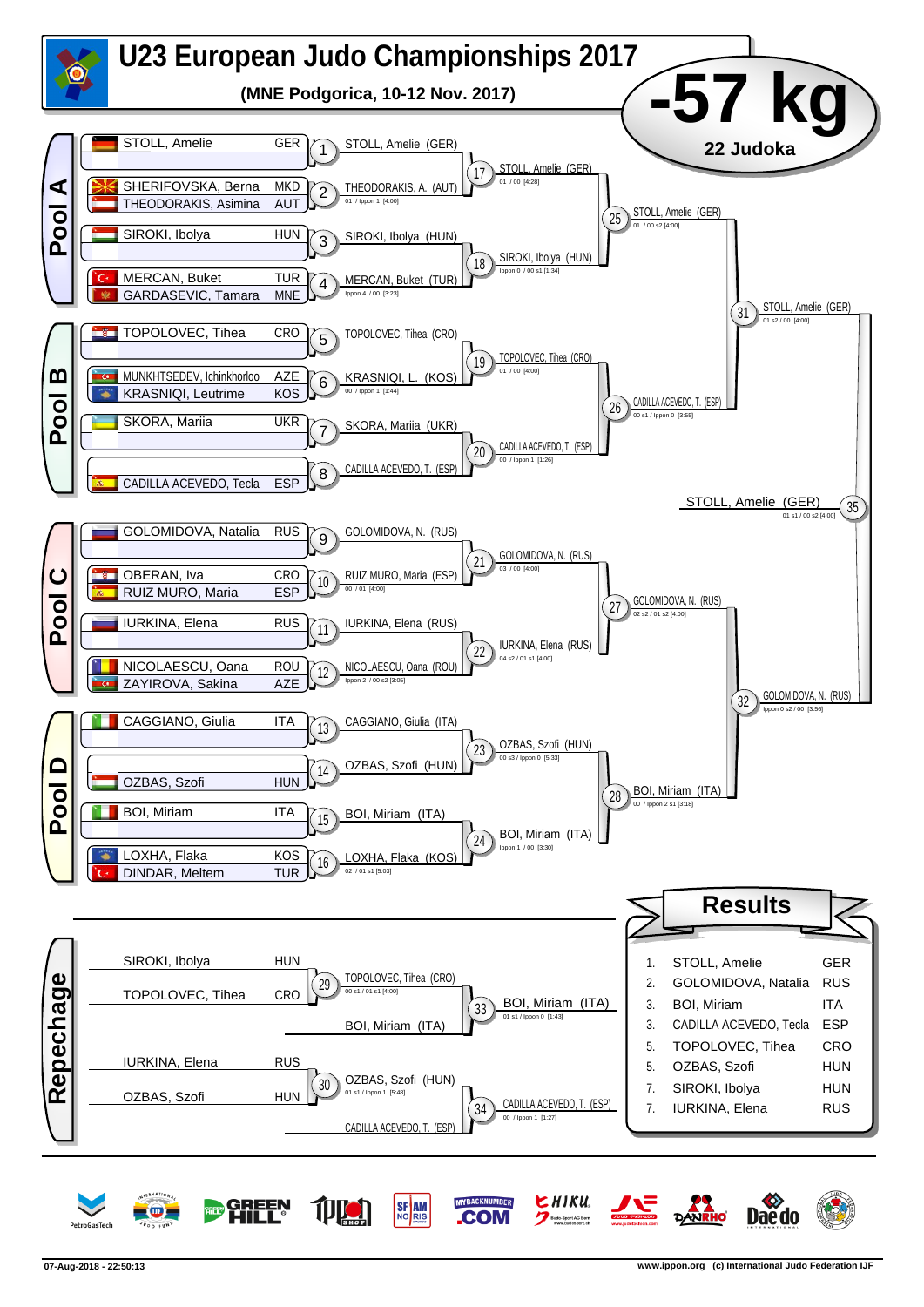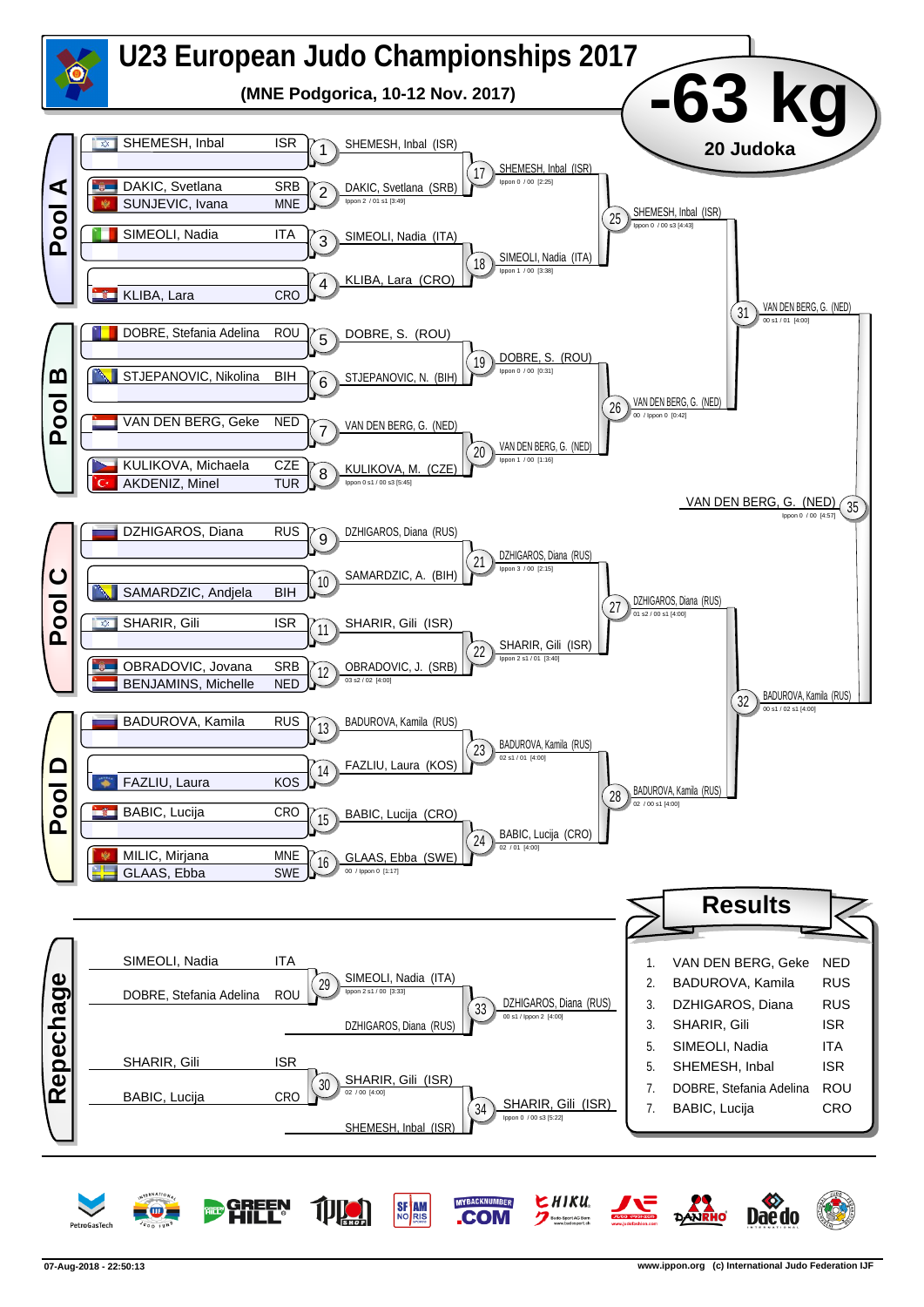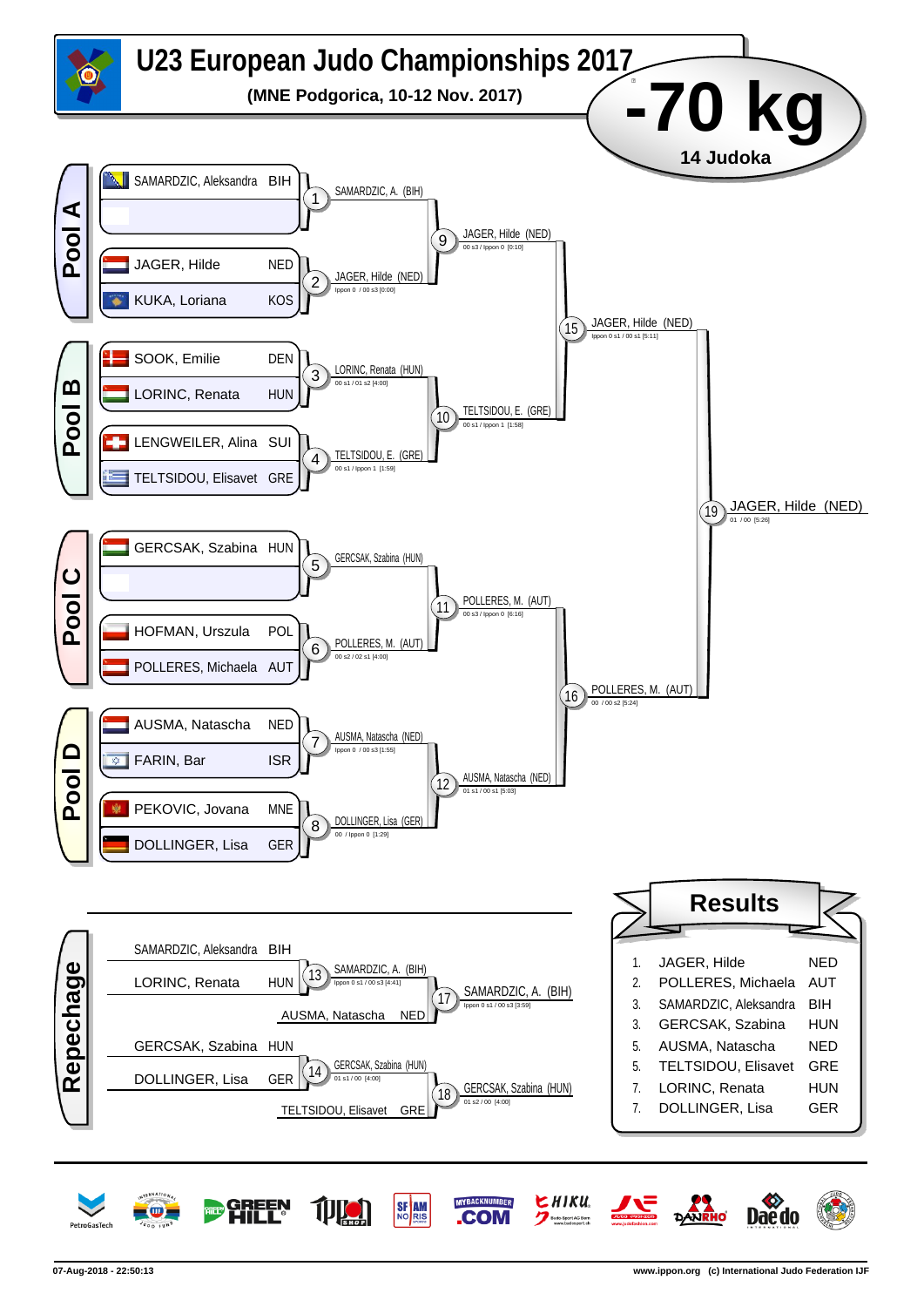

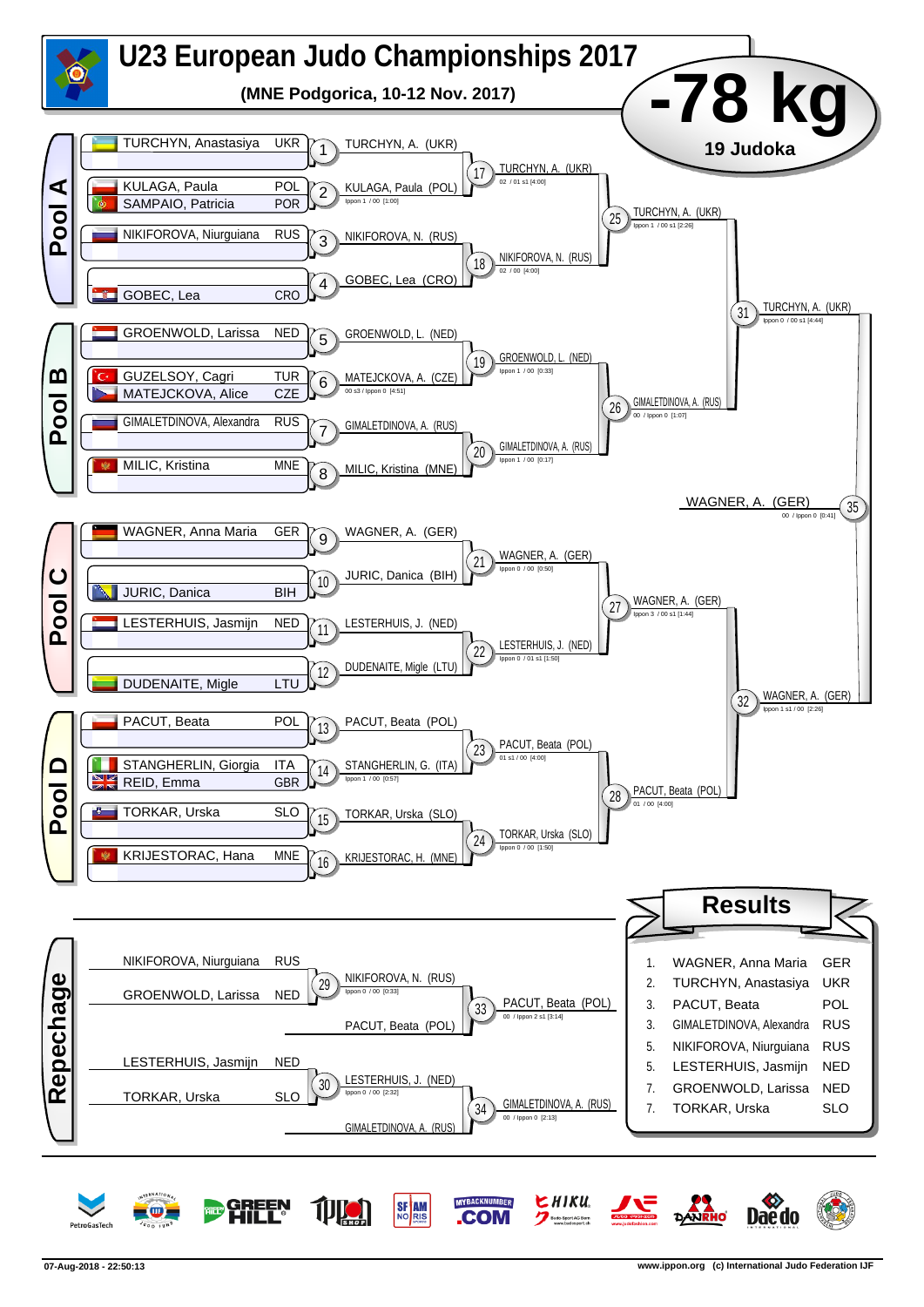